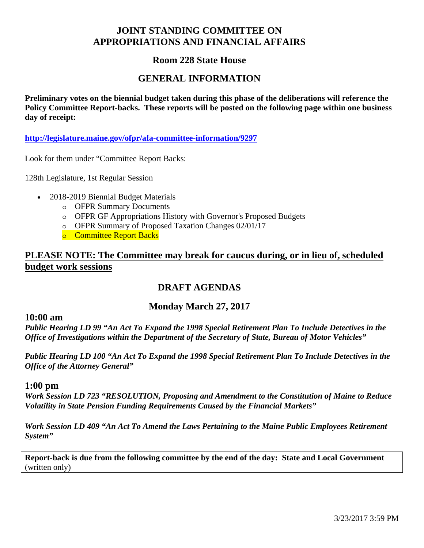# **JOINT STANDING COMMITTEE ON APPROPRIATIONS AND FINANCIAL AFFAIRS**

# **Room 228 State House**

## **GENERAL INFORMATION**

**Preliminary votes on the biennial budget taken during this phase of the deliberations will reference the Policy Committee Report-backs. These reports will be posted on the following page within one business day of receipt:** 

**http://legislature.maine.gov/ofpr/afa-committee-information/9297**

Look for them under "Committee Report Backs:

128th Legislature, 1st Regular Session

- 2018-2019 Biennial Budget Materials
	- o OFPR Summary Documents
	- o OFPR GF Appropriations History with Governor's Proposed Budgets
	- o OFPR Summary of Proposed Taxation Changes 02/01/17
	- o Committee Report Backs

# **PLEASE NOTE: The Committee may break for caucus during, or in lieu of, scheduled budget work sessions**

# **DRAFT AGENDAS**

## **Monday March 27, 2017**

#### **10:00 am**

*Public Hearing LD 99 "An Act To Expand the 1998 Special Retirement Plan To Include Detectives in the Office of Investigations within the Department of the Secretary of State, Bureau of Motor Vehicles"*

*Public Hearing LD 100 "An Act To Expand the 1998 Special Retirement Plan To Include Detectives in the Office of the Attorney General"* 

#### **1:00 pm**

*Work Session LD 723 "RESOLUTION, Proposing and Amendment to the Constitution of Maine to Reduce Volatility in State Pension Funding Requirements Caused by the Financial Markets"*

*Work Session LD 409 "An Act To Amend the Laws Pertaining to the Maine Public Employees Retirement System"* 

**Report-back is due from the following committee by the end of the day: State and Local Government** (written only)